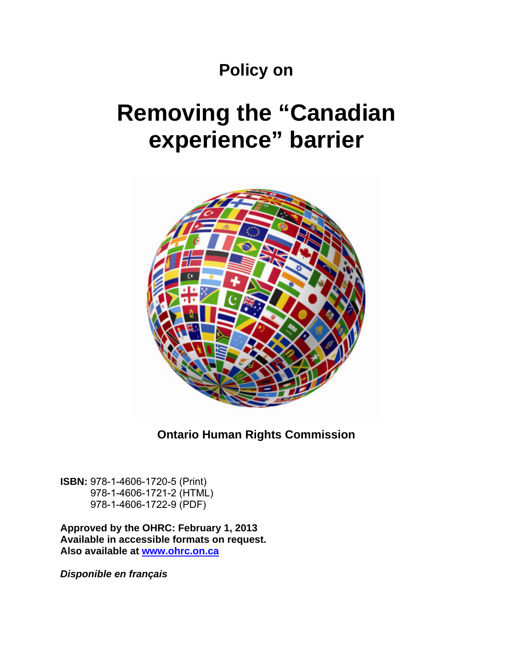## **Policy on**

# **Removing the "Canadian experience" barrier**



**Ontario Human Rights Commission** 

**ISBN:** 978-1-4606-1720-5 (Print) 978-1-4606-1721-2 (HTML) 978-1-4606-1722-9 (PDF)

**Approved by the OHRC: February 1, 2013 Available in accessible formats on request. Also available at [www.ohrc.on.ca](http://www.ohrc.on.ca)**

*Disponible en français*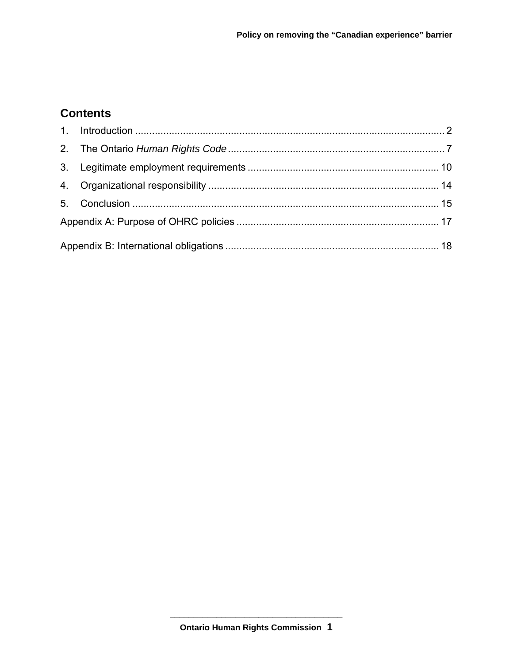#### **Contents**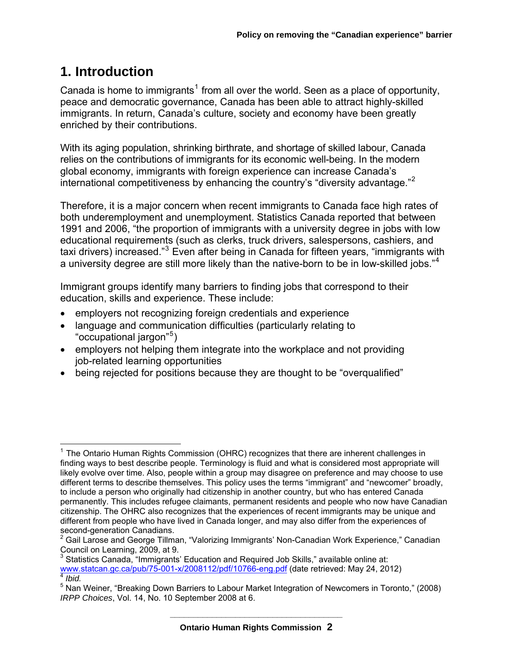#### <span id="page-3-0"></span>**1. Introduction**

Canada is home to immigrants<sup>1</sup> from all over the world. Seen as a place of opportunity, peace and democratic governance, Canada has been able to attract highly-skilled immigrants. In return, Canada's culture, society and economy have been greatly enriched by their contributions.

With its aging population, shrinking birthrate, and shortage of skilled labour, Canada relies on the contributions of immigrants for its economic well-being. In the modern global economy, immigrants with foreign experience can increase Canada's international competitiveness by enhancing the country's "diversity advantage."<sup>2</sup>

Therefore, it is a major concern when recent immigrants to Canada face high rates of both underemployment and unemployment. Statistics Canada reported that between 1991 and 2006, "the proportion of immigrants with a university degree in jobs with low educational requirements (such as clerks, truck drivers, salespersons, cashiers, and taxi drivers) increased."<sup>3</sup> Even after being in Canada for fifteen years, "immigrants with a university degree are still more likely than the native-born to be in low-skilled jobs."<sup>4</sup>

Immigrant groups identify many barriers to finding jobs that correspond to their education, skills and experience. These include:

- employers not recognizing foreign credentials and experience
- language and communication difficulties (particularly relating to "occupational jargon"<sup>5</sup> )
- employers not helping them integrate into the workplace and not providing job-related learning opportunities
- being rejected for positions because they are thought to be "overqualified"

 $<sup>1</sup>$  The Ontario Human Rights Commission (OHRC) recognizes that there are inherent challenges in</sup> finding ways to best describe people. Terminology is fluid and what is considered most appropriate will likely evolve over time. Also, people within a group may disagree on preference and may choose to use different terms to describe themselves. This policy uses the terms "immigrant" and "newcomer" broadly, to include a person who originally had citizenship in another country, but who has entered Canada permanently. This includes refugee claimants, permanent residents and people who now have Canadian citizenship. The OHRC also recognizes that the experiences of recent immigrants may be unique and different from people who have lived in Canada longer, and may also differ from the experiences of second-generation Canadians.<br><sup>2</sup> Coil Laress and Caerge Tillme

Gail Larose and George Tillman, "Valorizing Immigrants' Non-Canadian Work Experience," Canadian

Council on Learning, 2009, at 9.<br><sup>3</sup> Statistics Canada, "Immigrants' Education and Required Job Skills," available online at:  $3$  Statistics Canada, "Immigrants' Education and Required Job Skills," available online at: www.statcan.gc.ca/pub/75-001-x/2008112/pdf/10766-eng.pdf (date retrieved: May 2[4](http://www.statcan.gc.ca/pub/75-001-x/2008112/pdf/10766-eng.pdf), 2012)<br><sup>4</sup> *Ibid.*<br>5 Non Weiner. "Procking Down Perriers to Lebour Market Integration of Novembers in Terent

nud.<br><sup>5</sup> Nan Weiner, "Breaking Down Barriers to Labour Market Integration of Newcomers in Toronto," (2008) *IRPP Choices*, Vol. 14, No. 10 September 2008 at 6.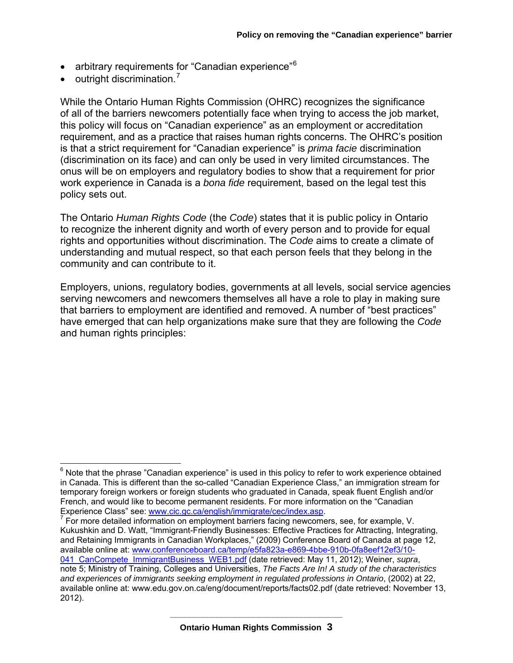- arbitrary requirements for "Canadian experience"<sup>6</sup>
- outright discrimination.<sup>7</sup>

While the Ontario Human Rights Commission (OHRC) recognizes the significance of all of the barriers newcomers potentially face when trying to access the job market, this policy will focus on "Canadian experience" as an employment or accreditation requirement, and as a practice that raises human rights concerns. The OHRC's position is that a strict requirement for "Canadian experience" is *prima facie* discrimination (discrimination on its face) and can only be used in very limited circumstances. The onus will be on employers and regulatory bodies to show that a requirement for prior work experience in Canada is a *bona fide* requirement, based on the legal test this policy sets out.

The Ontario *Human Rights Code* (the *Code*) states that it is public policy in Ontario to recognize the inherent dignity and worth of every person and to provide for equal rights and opportunities without discrimination. The *Code* aims to create a climate of understanding and mutual respect, so that each person feels that they belong in the community and can contribute to it.

Employers, unions, regulatory bodies, governments at all levels, social service agencies serving newcomers and newcomers themselves all have a role to play in making sure that barriers to employment are identified and removed. A number of "best practices" have emerged that can help organizations make sure that they are following the *Code*  and human rights principles:

 $6$  Note that the phrase "Canadian experience" is used in this policy to refer to work experience obtained in Canada. This is different than the so-called "Canadian Experience Class," an immigration stream for temporary foreign workers or foreign students who graduated in Canada, speak fluent English and/or French, and would like to become permanent residents. For more information on the "Canadian Experience Class" see: [www.cic.gc.ca/english/immigrate/cec/index.asp.](http://www.cic.gc.ca/english/immigrate/cec/index.asp) 7

 $\frac{7}{1}$  For more detailed information on employment barriers facing newcomers, see, for example, V. Kukushkin and D. Watt, "Immigrant-Friendly Businesses: Effective Practices for Attracting, Integrating, and Retaining Immigrants in Canadian Workplaces," (2009) Conference Board of Canada at page 12, [available online at: www.conferenceboard.ca/temp/e5fa823a-e869-4bbe-910b-0fa8eef12ef3/10-](http://www.conferenceboard.ca/temp/e5fa823a-e869-4bbe-910b-0fa8eef12ef3/10-041_CanCompete_ImmigrantBusiness_WEB1.pdf) 041\_CanCompete\_ImmigrantBusiness\_WEB1.pdf (date retrieved: May 11, 2012); Weiner, *supra*, note 5; Ministry of Training, Colleges and Universities, *The Facts Are In! A study of the characteristics and experiences of immigrants seeking employment in regulated professions in Ontario*, (2002) at 22, available online at: www.edu.gov.on.ca/eng/document/reports/facts02.pdf (date retrieved: November 13, 2012).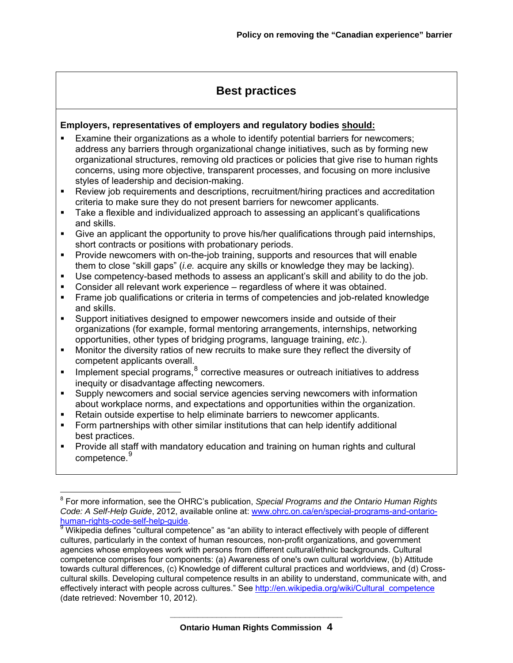#### **Best practices**

#### **Employers, representatives of employers and regulatory bodies should:**

- Examine their organizations as a whole to identify potential barriers for newcomers; address any barriers through organizational change initiatives, such as by forming new organizational structures, removing old practices or policies that give rise to human rights concerns, using more objective, transparent processes, and focusing on more inclusive styles of leadership and decision-making.
- Review job requirements and descriptions, recruitment/hiring practices and accreditation criteria to make sure they do not present barriers for newcomer applicants.
- Take a flexible and individualized approach to assessing an applicant's qualifications and skills.
- Give an applicant the opportunity to prove his/her qualifications through paid internships, short contracts or positions with probationary periods.
- Provide newcomers with on-the-job training, supports and resources that will enable them to close "skill gaps" (*i.e.* acquire any skills or knowledge they may be lacking).
- Use competency-based methods to assess an applicant's skill and ability to do the job.
- Consider all relevant work experience regardless of where it was obtained.
- Frame job qualifications or criteria in terms of competencies and job-related knowledge and skills.
- Support initiatives designed to empower newcomers inside and outside of their organizations (for example, formal mentoring arrangements, internships, networking opportunities, other types of bridging programs, language training, *etc*.).
- Monitor the diversity ratios of new recruits to make sure they reflect the diversity of competent applicants overall.
- Implement special programs,<sup>8</sup> corrective measures or outreach initiatives to address inequity or disadvantage affecting newcomers.
- Supply newcomers and social service agencies serving newcomers with information about workplace norms, and expectations and opportunities within the organization.
- Retain outside expertise to help eliminate barriers to newcomer applicants.
- Form partnerships with other similar institutions that can help identify additional best practices.
- Provide all staff with mandatory education and training on human rights and cultural competence.<sup>9</sup>

<sup>8</sup> For more information, see the OHRC's publication, *Special Programs and the Ontario Human Rights Code: A Self-Help Guide*[, 2012, available online at: www.ohrc.on.ca/en/special-programs-and-ontario-](http://www.ohrc.on.ca/en/special-programs-and-ontario-human-rights-code-self-help-guide)

 $\frac{9}{9}$  Wikipedia defines "cultural competence" as "an ability to interact effectively with people of different cultures, particularly in the context of human resources, non-profit organizations, and government agencies whose employees work with persons from different cultural/ethnic backgrounds. Cultural competence comprises four components: (a) Awareness of one's own cultural worldview, (b) Attitude towards cultural differences, (c) Knowledge of different cultural practices and worldviews, and (d) Crosscultural skills. Developing cultural competence results in an ability to understand, communicate with, and effectively interact with people across cultures." See http://en.wikipedia.org/wiki/Cultural\_competence (date retrieved: November 10, 2012).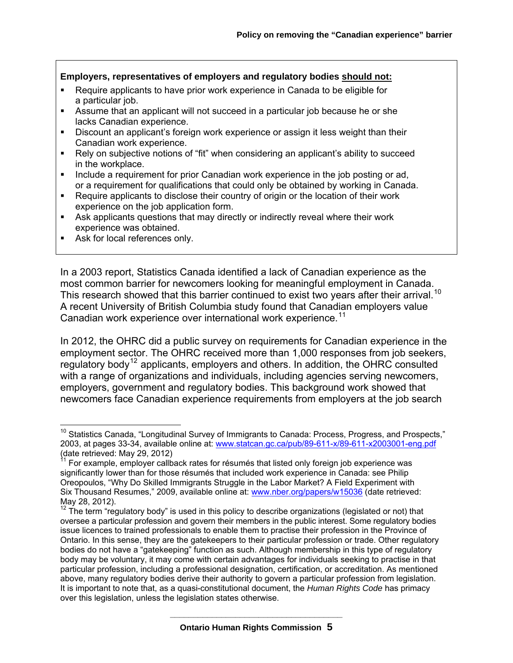#### **Employers, representatives of employers and regulatory bodies should not:**

- Require applicants to have prior work experience in Canada to be eligible for a particular job.
- Assume that an applicant will not succeed in a particular job because he or she lacks Canadian experience.
- Discount an applicant's foreign work experience or assign it less weight than their Canadian work experience.
- Rely on subjective notions of "fit" when considering an applicant's ability to succeed in the workplace.
- Include a requirement for prior Canadian work experience in the job posting or ad, or a requirement for qualifications that could only be obtained by working in Canada.
- Require applicants to disclose their country of origin or the location of their work experience on the job application form.
- Ask applicants questions that may directly or indirectly reveal where their work experience was obtained.
- Ask for local references only.

In a 2003 report, Statistics Canada identified a lack of Canadian experience as the most common barrier for newcomers looking for meaningful employment in Canada. This research showed that this barrier continued to exist two years after their arrival.<sup>10</sup> A recent University of British Columbia study found that Canadian employers value Canadian work experience over international work experience.<sup>11</sup>

In 2012, the OHRC did a public survey on requirements for Canadian experience in the employment sector. The OHRC received more than 1,000 responses from job seekers, regulatory body<sup>12</sup> applicants, employers and others. In addition, the OHRC consulted with a range of organizations and individuals, including agencies serving newcomers, employers, government and regulatory bodies. This background work showed that newcomers face Canadian experience requirements from employers at the job search

<sup>&</sup>lt;sup>10</sup> Statistics Canada, "Longitudinal Survey of Immigrants to Canada: Process, Progress, and Prospects," 2003, at pages 33-34, available online at: [www.statcan.gc.ca/pub/89-611-x/89-611-x2003001-eng.pdf](http://www.statcan.gc.ca/pub/89-611-x/89-611-x2003001-eng.pdf) (date retrieved: May 29, 2012)

<sup>&</sup>lt;sup>11</sup> For example, employer callback rates for résumés that listed only foreign job experience was significantly lower than for those résumés that included work experience in Canada: see Philip Oreopoulos, "Why Do Skilled Immigrants Struggle in the Labor Market? A Field Experiment with Six Thousand Resumes," 2009, available online at: [www.nber.org/papers/w15036](http://www.nber.org/papers/w15036) (date retrieved: May 28, 2012).

The term "regulatory body" is used in this policy to describe organizations (legislated or not) that oversee a particular profession and govern their members in the public interest. Some regulatory bodies issue licences to trained professionals to enable them to practise their profession in the Province of Ontario. In this sense, they are the gatekeepers to their particular profession or trade. Other regulatory bodies do not have a "gatekeeping" function as such. Although membership in this type of regulatory body may be voluntary, it may come with certain advantages for individuals seeking to practise in that particular profession, including a professional designation, certification, or accreditation. As mentioned above, many regulatory bodies derive their authority to govern a particular profession from legislation. It is important to note that, as a quasi-constitutional document, the *Human Rights Code* has primacy over this legislation, unless the legislation states otherwise.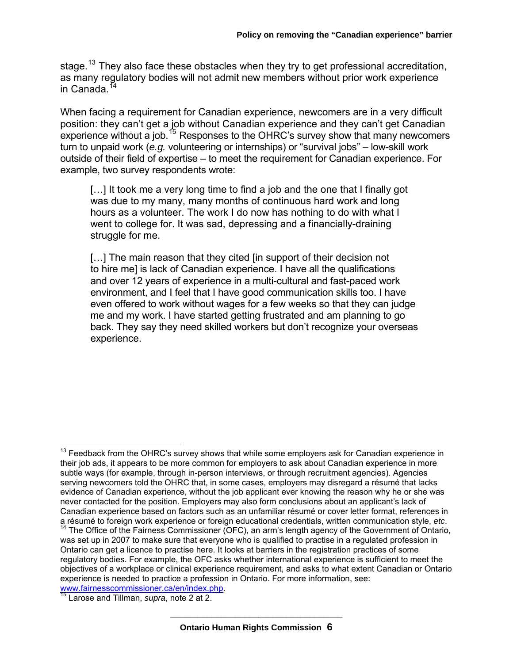stage.<sup>13</sup> They also face these obstacles when they try to get professional accreditation, as many regulatory bodies will not admit new members without prior work experience in Canada.<sup>1</sup>

When facing a requirement for Canadian experience, newcomers are in a very difficult position: they can't get a job without Canadian experience and they can't get Canadian experience without a job.<sup>15</sup> Responses to the OHRC's survey show that many newcomers turn to unpaid work (*e.g.* volunteering or internships) or "survival jobs" – low-skill work outside of their field of expertise – to meet the requirement for Canadian experience. For example, two survey respondents wrote:

[...] It took me a very long time to find a job and the one that I finally got was due to my many, many months of continuous hard work and long hours as a volunteer. The work I do now has nothing to do with what I went to college for. It was sad, depressing and a financially-draining struggle for me.

[...] The main reason that they cited [in support of their decision not to hire me] is lack of Canadian experience. I have all the qualifications and over 12 years of experience in a multi-cultural and fast-paced work environment, and I feel that I have good communication skills too. I have even offered to work without wages for a few weeks so that they can judge me and my work. I have started getting frustrated and am planning to go back. They say they need skilled workers but don't recognize your overseas experience.

 $13$  Feedback from the OHRC's survey shows that while some employers ask for Canadian experience in their job ads, it appears to be more common for employers to ask about Canadian experience in more subtle ways (for example, through in-person interviews, or through recruitment agencies). Agencies serving newcomers told the OHRC that, in some cases, employers may disregard a résumé that lacks evidence of Canadian experience, without the job applicant ever knowing the reason why he or she was never contacted for the position. Employers may also form conclusions about an applicant's lack of Canadian experience based on factors such as an unfamiliar résumé or cover letter format, references in<br>a résumé to foreign work experience or foreign educational credentials, written communication style, etc.

<sup>&</sup>lt;sup>14</sup> The Office of the Fairness Commissioner (OFC), an arm's length agency of the Government of Ontario, was set up in 2007 to make sure that everyone who is qualified to practise in a regulated profession in Ontario can get a licence to practise here. It looks at barriers in the registration practices of some regulatory bodies. For example, the OFC asks whether international experience is sufficient to meet the objectives of a workplace or clinical experience requirement, and asks to what extent Canadian or Ontario experience is needed to practice a profession in Ontario. For more information, see:

[www.fairnesscommissioner.ca/en/index.php.](http://www.fairnesscommissioner.ca/en/index.php) [15](http://www.fairnesscommissioner.ca/en/index.php) Larose and Tillman, *supra*, note 2 at 2.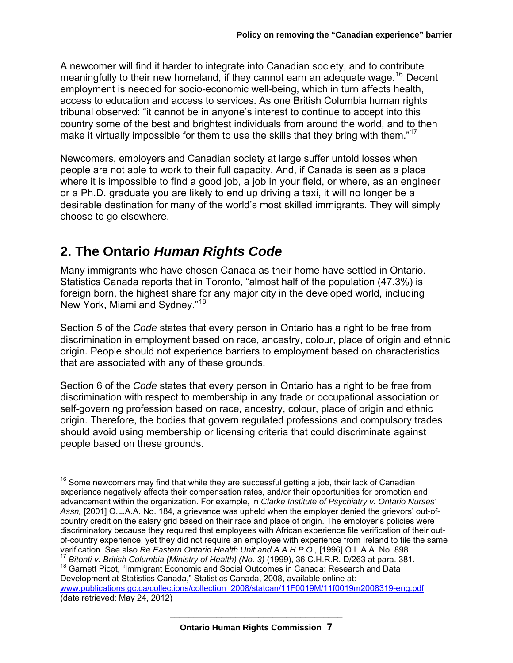<span id="page-8-0"></span>A newcomer will find it harder to integrate into Canadian society, and to contribute meaningfully to their new homeland, if they cannot earn an adequate wage.<sup>16</sup> Decent employment is needed for socio-economic well-being, which in turn affects health, access to education and access to services. As one British Columbia human rights tribunal observed: "it cannot be in anyone's interest to continue to accept into this country some of the best and brightest individuals from around the world, and to then make it virtually impossible for them to use the skills that they bring with them."<sup>17</sup>

Newcomers, employers and Canadian society at large suffer untold losses when people are not able to work to their full capacity. And, if Canada is seen as a place where it is impossible to find a good job, a job in your field, or where, as an engineer or a Ph.D. graduate you are likely to end up driving a taxi, it will no longer be a desirable destination for many of the world's most skilled immigrants. They will simply choose to go elsewhere.

## **2. The Ontario** *Human Rights Code*

Many immigrants who have chosen Canada as their home have settled in Ontario. Statistics Canada reports that in Toronto, "almost half of the population (47.3%) is foreign born, the highest share for any major city in the developed world, including New York, Miami and Sydney."<sup>18</sup>

Section 5 of the *Code* states that every person in Ontario has a right to be free from discrimination in employment based on race, ancestry, colour, place of origin and ethnic origin. People should not experience barriers to employment based on characteristics that are associated with any of these grounds.

Section 6 of the *Code* states that every person in Ontario has a right to be free from discrimination with respect to membership in any trade or occupational association or self-governing profession based on race, ancestry, colour, place of origin and ethnic origin. Therefore, the bodies that govern regulated professions and compulsory trades should avoid using membership or licensing criteria that could discriminate against people based on these grounds.

[www.publications.gc.ca/collections/collection\\_2008/statcan/11F0019M/11f0019m2008319-eng.pdf](http://www.publications.gc.ca/collections/collection_2008/statcan/11F0019M/11f0019m2008319-eng.pdf) (date retrieved: May 24, 2012)

 $16$  Some newcomers may find that while they are successful getting a job, their lack of Canadian experience negatively affects their compensation rates, and/or their opportunities for promotion and advancement within the organization. For example, in *Clarke Institute of Psychiatry v. Ontario Nurses' Assn,* [2001] O.L.A.A. No. 184, a grievance was upheld when the employer denied the grievors' out-ofcountry credit on the salary grid based on their race and place of origin. The employer's policies were discriminatory because they required that employees with African experience file verification of their outof-country experience, yet they did not require an employee with experience from Ireland to file the same verification. See also Re Eastern Ontario Health Unit and A.A.H.P.O., [1996] O.L.A.A. No. 898. <sup>17</sup> Bitonti v. British Columbia (Ministry of Health) (No. 3) (1999), 36 C.H.R.R. D/263 at para. 381.<br><sup>18</sup> Garnett Picot, "Immigrant Economic and Social Outcomes in Canada: Research and Data Development at Statistics Canada," Statistics Canada, 2008, available online at: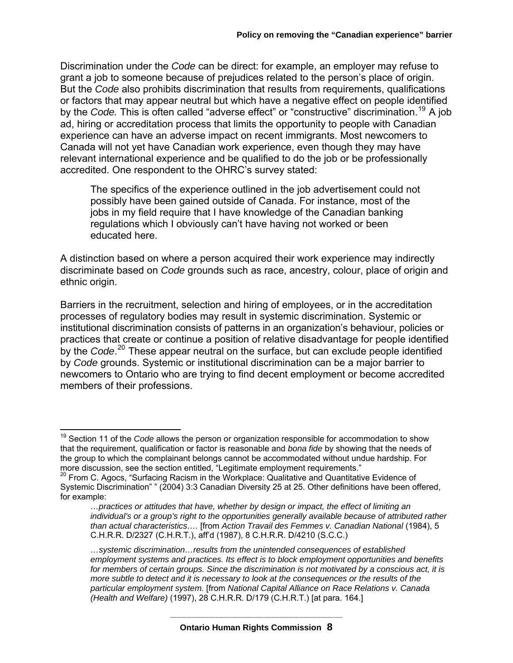Discrimination under the *Code* can be direct: for example, an employer may refuse to grant a job to someone because of prejudices related to the person's place of origin. But the *Code* also prohibits discrimination that results from requirements, qualifications or factors that may appear neutral but which have a negative effect on people identified by the *Code.* This is often called "adverse effect" or "constructive" discrimination.[19](#page-9-0) A job ad, hiring or accreditation process that limits the opportunity to people with Canadian experience can have an adverse impact on recent immigrants. Most newcomers to Canada will not yet have Canadian work experience, even though they may have relevant international experience and be qualified to do the job or be professionally accredited. One respondent to the OHRC's survey stated:

The specifics of the experience outlined in the job advertisement could not possibly have been gained outside of Canada. For instance, most of the jobs in my field require that I have knowledge of the Canadian banking regulations which I obviously can't have having not worked or been educated here.

A distinction based on where a person acquired their work experience may indirectly discriminate based on *Code* grounds such as race, ancestry, colour, place of origin and ethnic origin.

Barriers in the recruitment, selection and hiring of employees, or in the accreditation processes of regulatory bodies may result in systemic discrimination. Systemic or institutional discrimination consists of patterns in an organization's behaviour, policies or practices that create or continue a position of relative disadvantage for people identified by the *Code*. [20](#page-9-1) These appear neutral on the surface, but can exclude people identified by *Code* grounds. Systemic or institutional discrimination can be a major barrier to newcomers to Ontario who are trying to find decent employment or become accredited members of their professions.

<span id="page-9-0"></span><sup>19</sup> Section 11 of the *Code* allows the person or organization responsible for accommodation to show that the requirement, qualification or factor is reasonable and *bona fide* by showing that the needs of the group to which the complainant belongs cannot be accommodated without undue hardship. For more discussion, see the section entitled, "Legitimate employment requirements."

<span id="page-9-1"></span><sup>&</sup>lt;sup>20</sup> From C. Agocs, "Surfacing Racism in the Workplace: Qualitative and Quantitative Evidence of Systemic Discrimination" " (2004) 3:3 Canadian Diversity 25 at 25. Other definitions have been offered, for example:

*<sup>…</sup>practices or attitudes that have, whether by design or impact, the effect of limiting an individual's or a group's right to the opportunities generally available because of attributed rather than actual characteristics….* [from *Action Travail des Femmes v. Canadian National* (1984), 5 C.H.R.R. D/2327 (C.H.R.T.), aff'd (1987), 8 C.H.R.R. D/4210 (S.C.C.)

*<sup>…</sup>systemic discrimination…results from the unintended consequences of established employment systems and practices. Its effect is to block employment opportunities and benefits for members of certain groups. Since the discrimination is not motivated by a conscious act, it is more subtle to detect and it is necessary to look at the consequences or the results of the particular employment system.* [from *National Capital Alliance on Race Relations v. Canada (Health and Welfare)* (1997), 28 C.H.R.R. D/179 (C.H.R.T.) [at para. 164.]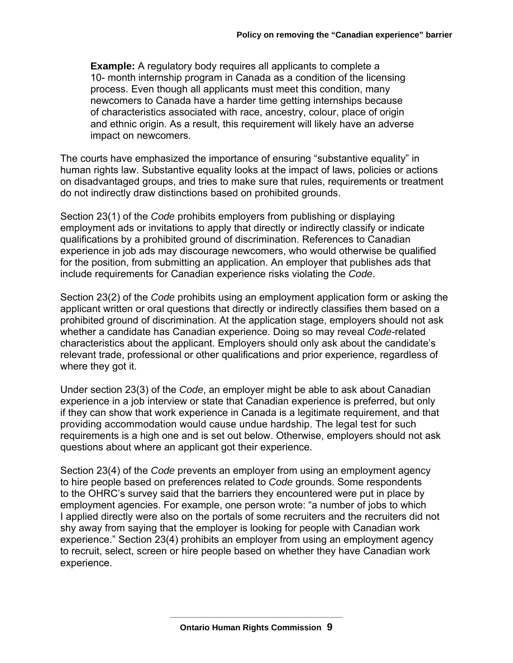**Example:** A regulatory body requires all applicants to complete a 10- month internship program in Canada as a condition of the licensing process. Even though all applicants must meet this condition, many newcomers to Canada have a harder time getting internships because of characteristics associated with race, ancestry, colour, place of origin and ethnic origin. As a result, this requirement will likely have an adverse impact on newcomers.

The courts have emphasized the importance of ensuring "substantive equality" in human rights law. Substantive equality looks at the impact of laws, policies or actions on disadvantaged groups, and tries to make sure that rules, requirements or treatment do not indirectly draw distinctions based on prohibited grounds.

Section 23(1) of the *Code* prohibits employers from publishing or displaying employment ads or invitations to apply that directly or indirectly classify or indicate qualifications by a prohibited ground of discrimination. References to Canadian experience in job ads may discourage newcomers, who would otherwise be qualified for the position, from submitting an application. An employer that publishes ads that include requirements for Canadian experience risks violating the *Code*.

Section 23(2) of the *Code* prohibits using an employment application form or asking the applicant written or oral questions that directly or indirectly classifies them based on a prohibited ground of discrimination. At the application stage, employers should not ask whether a candidate has Canadian experience. Doing so may reveal *Code-*related characteristics about the applicant. Employers should only ask about the candidate's relevant trade, professional or other qualifications and prior experience, regardless of where they got it.

Under section 23(3) of the *Code*, an employer might be able to ask about Canadian experience in a job interview or state that Canadian experience is preferred, but only if they can show that work experience in Canada is a legitimate requirement, and that providing accommodation would cause undue hardship. The legal test for such requirements is a high one and is set out below. Otherwise, employers should not ask questions about where an applicant got their experience.

Section 23(4) of the *Code* prevents an employer from using an employment agency to hire people based on preferences related to *Code* grounds. Some respondents to the OHRC's survey said that the barriers they encountered were put in place by employment agencies. For example, one person wrote: "a number of jobs to which I applied directly were also on the portals of some recruiters and the recruiters did not shy away from saying that the employer is looking for people with Canadian work experience." Section 23(4) prohibits an employer from using an employment agency to recruit, select, screen or hire people based on whether they have Canadian work experience.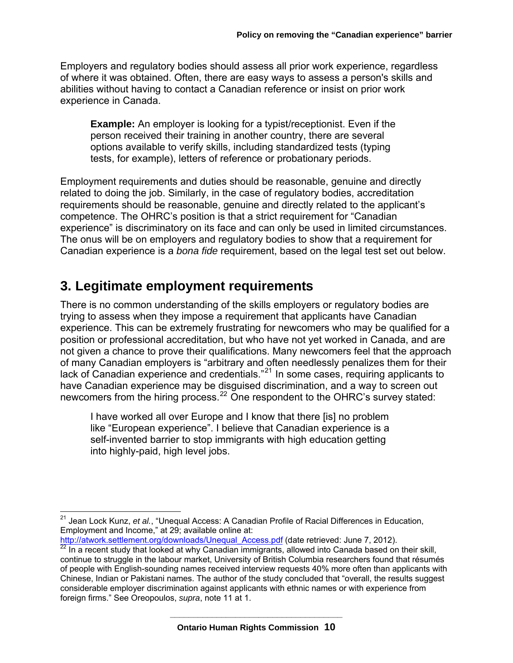<span id="page-11-0"></span>Employers and regulatory bodies should assess all prior work experience, regardless of where it was obtained. Often, there are easy ways to assess a person's skills and abilities without having to contact a Canadian reference or insist on prior work experience in Canada.

**Example:** An employer is looking for a typist/receptionist. Even if the person received their training in another country, there are several options available to verify skills, including standardized tests (typing tests, for example), letters of reference or probationary periods.

Employment requirements and duties should be reasonable, genuine and directly related to doing the job. Similarly, in the case of regulatory bodies, accreditation requirements should be reasonable, genuine and directly related to the applicant's competence. The OHRC's position is that a strict requirement for "Canadian experience" is discriminatory on its face and can only be used in limited circumstances. The onus will be on employers and regulatory bodies to show that a requirement for Canadian experience is a *bona fide* requirement, based on the legal test set out below.

#### **3. Legitimate employment requirements**

There is no common understanding of the skills employers or regulatory bodies are trying to assess when they impose a requirement that applicants have Canadian experience. This can be extremely frustrating for newcomers who may be qualified for a position or professional accreditation, but who have not yet worked in Canada, and are not given a chance to prove their qualifications. Many newcomers feel that the approach of many Canadian employers is "arbitrary and often needlessly penalizes them for their lack of Canadian experience and credentials."<sup>21</sup> In some cases, requiring applicants to have Canadian experience may be disguised discrimination, and a way to screen out newcomers from the hiring process.<sup>22</sup> One respondent to the OHRC's survey stated:

I have worked all over Europe and I know that there [is] no problem like "European experience". I believe that Canadian experience is a self-invented barrier to stop immigrants with high education getting into highly-paid, high level jobs.

<sup>21</sup> Jean Lock Kunz, *et al.*, "Unequal Access: A Canadian Profile of Racial Differences in Education, Employment and Income," at 29; available online at:

http://atwork.settlement.org/downloads/Unequal\_Access.pdf (date retrieved: June 7, 2012).<br><sup>[22](http://atwork.settlement.org/downloads/Unequal_Access.pdf)</sup> In a recent study that looked at why Canadian immigrants, allowed into Canada based on their skill, continue to struggle in the labour market, University of British Columbia researchers found that résumés of people with English-sounding names received interview requests 40% more often than applicants with Chinese, Indian or Pakistani names. The author of the study concluded that "overall, the results suggest considerable employer discrimination against applicants with ethnic names or with experience from foreign firms." See Oreopoulos, *supra*, note 11 at 1.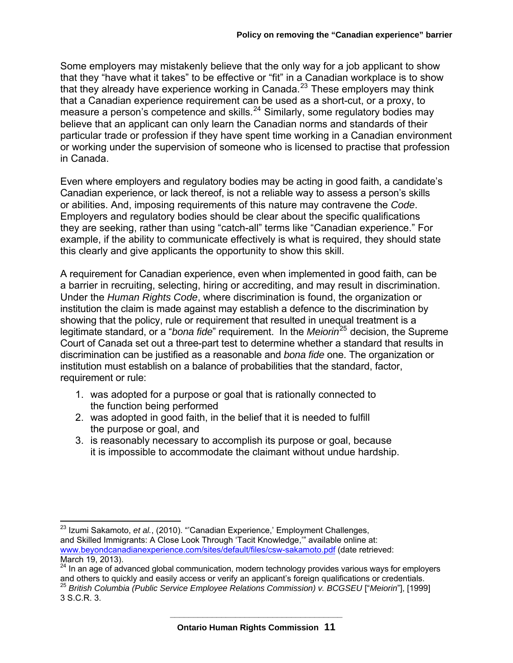Some employers may mistakenly believe that the only way for a job applicant to show that they "have what it takes" to be effective or "fit" in a Canadian workplace is to show that they already have experience working in Canada.<sup>23</sup> These employers may think that a Canadian experience requirement can be used as a short-cut, or a proxy, to measure a person's competence and skills.<sup>24</sup> Similarly, some regulatory bodies may believe that an applicant can only learn the Canadian norms and standards of their particular trade or profession if they have spent time working in a Canadian environment or working under the supervision of someone who is licensed to practise that profession in Canada.

Even where employers and regulatory bodies may be acting in good faith, a candidate's Canadian experience, or lack thereof, is not a reliable way to assess a person's skills or abilities. And, imposing requirements of this nature may contravene the *Code*. Employers and regulatory bodies should be clear about the specific qualifications they are seeking, rather than using "catch-all" terms like "Canadian experience." For example, if the ability to communicate effectively is what is required, they should state this clearly and give applicants the opportunity to show this skill.

A requirement for Canadian experience, even when implemented in good faith, can be a barrier in recruiting, selecting, hiring or accrediting, and may result in discrimination. Under the *Human Rights Code*, where discrimination is found, the organization or institution the claim is made against may establish a defence to the discrimination by showing that the policy, rule or requirement that resulted in unequal treatment is a legitimate standard, or a "*bona fide*" requirement. In the *Meiorin*<sup>25</sup> decision, the Supreme Court of Canada set out a three-part test to determine whether a standard that results in discrimination can be justified as a reasonable and *bona fide* one. The organization or institution must establish on a balance of probabilities that the standard, factor, requirement or rule:

- 1. was adopted for a purpose or goal that is rationally connected to the function being performed
- 2. was adopted in good faith, in the belief that it is needed to fulfill the purpose or goal, and
- 3. is reasonably necessary to accomplish its purpose or goal, because it is impossible to accommodate the claimant without undue hardship.

<sup>23</sup> Izumi Sakamoto, *et al.*, (2010). "'Canadian Experience,' Employment Challenges, and Skilled Immigrants: A Close Look Through 'Tacit Knowledge,'" available online at: [www.beyondcanadianexperience.com/sites/default/files/csw-sakamoto.pdf](http://www.beyondcanadianexperience.com/sites/default/files/csw-sakamoto.pdf) (date retrieved: March 19, 2013).

<sup>&</sup>lt;sup>24</sup> In an age of advanced global communication, modern technology provides various ways for employers and others to quickly and easily access or verify an applicant's foreign qualifications or credentials. 25 *British Columbia (Public Service Employee Relations Commission) v. BCGSEU* ["*Meiorin*"], [1999]

<sup>3</sup> S.C.R. 3.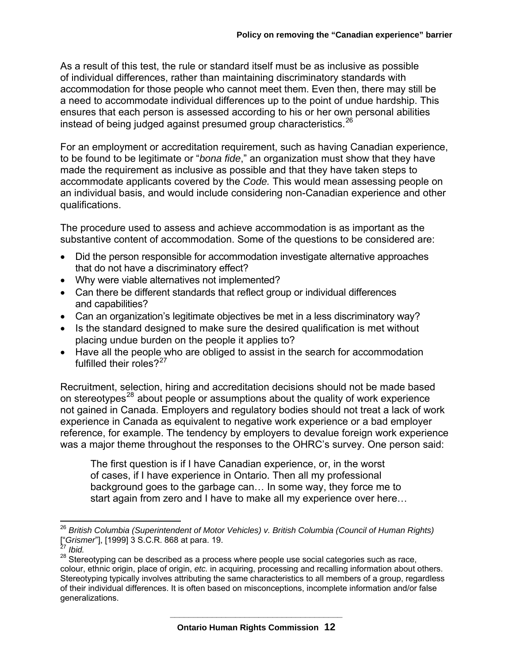As a result of this test, the rule or standard itself must be as inclusive as possible of individual differences, rather than maintaining discriminatory standards with accommodation for those people who cannot meet them. Even then, there may still be a need to accommodate individual differences up to the point of undue hardship. This ensures that each person is assessed according to his or her own personal abilities instead of being judged against presumed group characteristics.<sup>26</sup>

For an employment or accreditation requirement, such as having Canadian experience, to be found to be legitimate or "*bona fide*," an organization must show that they have made the requirement as inclusive as possible and that they have taken steps to accommodate applicants covered by the *Code.* This would mean assessing people on an individual basis, and would include considering non-Canadian experience and other qualifications.

The procedure used to assess and achieve accommodation is as important as the substantive content of accommodation. Some of the questions to be considered are:

- Did the person responsible for accommodation investigate alternative approaches that do not have a discriminatory effect?
- Why were viable alternatives not implemented?
- Can there be different standards that reflect group or individual differences and capabilities?
- Can an organization's legitimate objectives be met in a less discriminatory way?
- Is the standard designed to make sure the desired qualification is met without placing undue burden on the people it applies to?
- Have all the people who are obliged to assist in the search for accommodation fulfilled their roles? $27$

Recruitment, selection, hiring and accreditation decisions should not be made based on stereotypes<sup>28</sup> about people or assumptions about the quality of work experience not gained in Canada. Employers and regulatory bodies should not treat a lack of work experience in Canada as equivalent to negative work experience or a bad employer reference, for example. The tendency by employers to devalue foreign work experience was a major theme throughout the responses to the OHRC's survey. One person said:

The first question is if I have Canadian experience, or, in the worst of cases, if I have experience in Ontario. Then all my professional background goes to the garbage can… In some way, they force me to start again from zero and I have to make all my experience over here…

<sup>26</sup> *British Columbia (Superintendent of Motor Vehicles) v. British Columbia (Council of Human Rights)* ["*Grismer*"], [1999] 3 S.C.R. 868 at para. 19. 27 *Ibid.* 

 $28$  Stereotyping can be described as a process where people use social categories such as race, colour, ethnic origin, place of origin, *etc.* in acquiring, processing and recalling information about others. Stereotyping typically involves attributing the same characteristics to all members of a group, regardless of their individual differences. It is often based on misconceptions, incomplete information and/or false generalizations.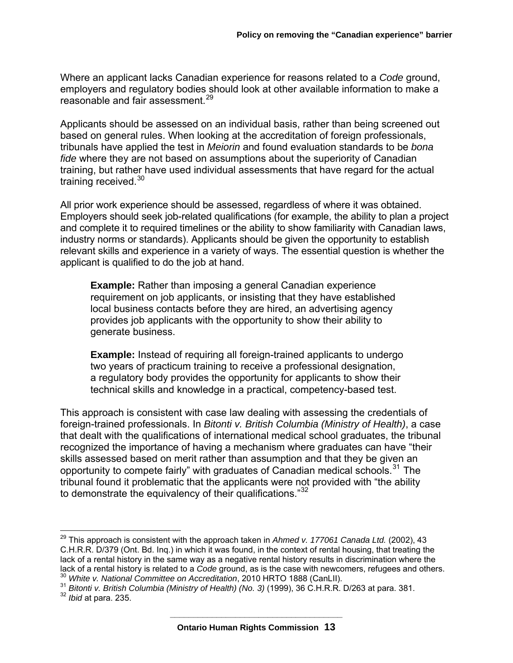Where an applicant lacks Canadian experience for reasons related to a *Code* ground, employers and regulatory bodies should look at other available information to make a reasonable and fair assessment.<sup>29</sup>

Applicants should be assessed on an individual basis, rather than being screened out based on general rules. When looking at the accreditation of foreign professionals, tribunals have applied the test in *Meiorin* and found evaluation standards to be *bona fide* where they are not based on assumptions about the superiority of Canadian training, but rather have used individual assessments that have regard for the actual training received.<sup>30</sup>

All prior work experience should be assessed, regardless of where it was obtained. Employers should seek job-related qualifications (for example, the ability to plan a project and complete it to required timelines or the ability to show familiarity with Canadian laws, industry norms or standards). Applicants should be given the opportunity to establish relevant skills and experience in a variety of ways. The essential question is whether the applicant is qualified to do the job at hand.

**Example:** Rather than imposing a general Canadian experience requirement on job applicants, or insisting that they have established local business contacts before they are hired, an advertising agency provides job applicants with the opportunity to show their ability to generate business.

**Example:** Instead of requiring all foreign-trained applicants to undergo two years of practicum training to receive a professional designation, a regulatory body provides the opportunity for applicants to show their technical skills and knowledge in a practical, competency-based test.

This approach is consistent with case law dealing with assessing the credentials of foreign-trained professionals. In *Bitonti v. British Columbia (Ministry of Health)*, a case that dealt with the qualifications of international medical school graduates, the tribunal recognized the importance of having a mechanism where graduates can have "their skills assessed based on merit rather than assumption and that they be given an opportunity to compete fairly" with graduates of Canadian medical schools.<sup>31</sup> The tribunal found it problematic that the applicants were not provided with "the ability to demonstrate the equivalency of their qualifications."<sup>32</sup>

<sup>29</sup> This approach is consistent with the approach taken in *Ahmed v. 177061 Canada Ltd.* (2002), 43 C.H.R.R. D/379 (Ont. Bd. Inq.) in which it was found, in the context of rental housing, that treating the lack of a rental history in the same way as a negative rental history results in discrimination where the lack of a rental history is related to a Code ground, as is the case with new comers, refugees and others.

 $^{30}$  White v. National Committee on Accreditation, 2010 HRTO 1888 (CanLII).<br> $^{31}$  Bitonti v. British Columbia (Ministry of Health) (No. 3) (1999), 36 C.H.R.R. D/263 at para. 381.<br> $^{32}$  Ibid at para. 235.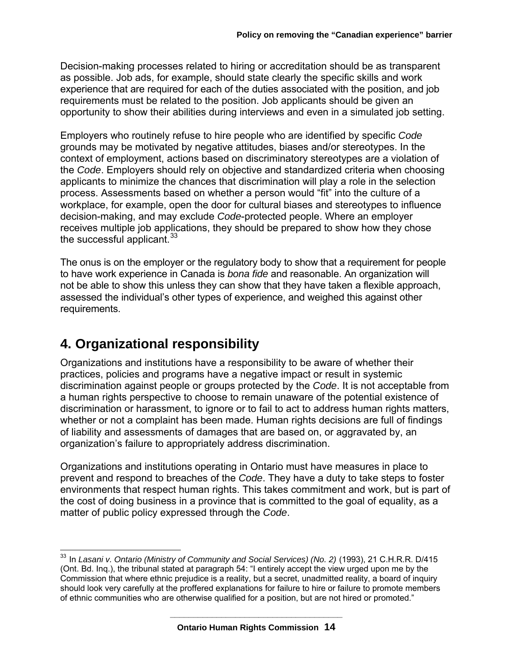<span id="page-15-0"></span>Decision-making processes related to hiring or accreditation should be as transparent as possible. Job ads, for example, should state clearly the specific skills and work experience that are required for each of the duties associated with the position, and job requirements must be related to the position. Job applicants should be given an opportunity to show their abilities during interviews and even in a simulated job setting.

Employers who routinely refuse to hire people who are identified by specific *Code* grounds may be motivated by negative attitudes, biases and/or stereotypes. In the context of employment, actions based on discriminatory stereotypes are a violation of the *Code*. Employers should rely on objective and standardized criteria when choosing applicants to minimize the chances that discrimination will play a role in the selection process. Assessments based on whether a person would "fit" into the culture of a workplace, for example, open the door for cultural biases and stereotypes to influence decision-making, and may exclude *Code*-protected people. Where an employer receives multiple job applications, they should be prepared to show how they chose the successful applicant.  $33$ 

The onus is on the employer or the regulatory body to show that a requirement for people to have work experience in Canada is *bona fide* and reasonable. An organization will not be able to show this unless they can show that they have taken a flexible approach, assessed the individual's other types of experience, and weighed this against other requirements.

#### **4. Organizational responsibility**

Organizations and institutions have a responsibility to be aware of whether their practices, policies and programs have a negative impact or result in systemic discrimination against people or groups protected by the *Code*. It is not acceptable from a human rights perspective to choose to remain unaware of the potential existence of discrimination or harassment, to ignore or to fail to act to address human rights matters, whether or not a complaint has been made. Human rights decisions are full of findings of liability and assessments of damages that are based on, or aggravated by, an organization's failure to appropriately address discrimination.

Organizations and institutions operating in Ontario must have measures in place to prevent and respond to breaches of the *Code*. They have a duty to take steps to foster environments that respect human rights. This takes commitment and work, but is part of the cost of doing business in a province that is committed to the goal of equality, as a matter of public policy expressed through the *Code*.

<sup>33</sup> In *Lasani v. Ontario (Ministry of Community and Social Services) (No. 2)* (1993), 21 C.H.R.R. D/415 (Ont. Bd. Inq.), the tribunal stated at paragraph 54: "I entirely accept the view urged upon me by the Commission that where ethnic prejudice is a reality, but a secret, unadmitted reality, a board of inquiry should look very carefully at the proffered explanations for failure to hire or failure to promote members of ethnic communities who are otherwise qualified for a position, but are not hired or promoted."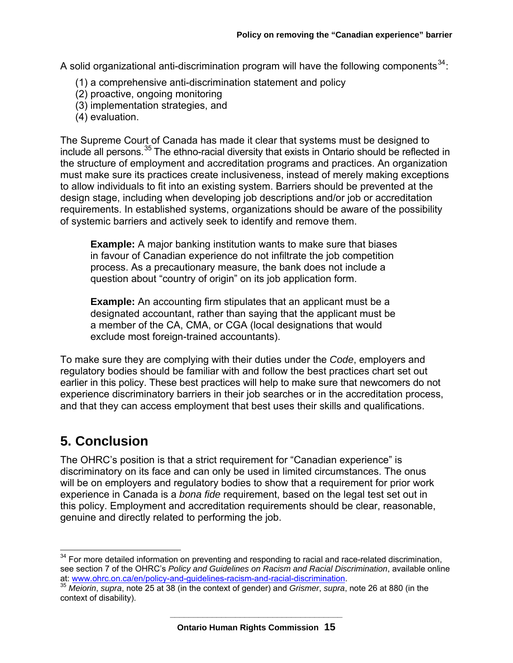<span id="page-16-0"></span>A solid organizational anti-discrimination program will have the following components $^{34}$ :

- (1) a comprehensive anti-discrimination statement and policy
- (2) proactive, ongoing monitoring
- (3) implementation strategies, and
- (4) evaluation.

The Supreme Court of Canada has made it clear that systems must be designed to include all persons.<sup>35</sup> The ethno-racial diversity that exists in Ontario should be reflected in the structure of employment and accreditation programs and practices. An organization must make sure its practices create inclusiveness, instead of merely making exceptions to allow individuals to fit into an existing system. Barriers should be prevented at the design stage, including when developing job descriptions and/or job or accreditation requirements. In established systems, organizations should be aware of the possibility of systemic barriers and actively seek to identify and remove them.

**Example:** A major banking institution wants to make sure that biases in favour of Canadian experience do not infiltrate the job competition process. As a precautionary measure, the bank does not include a question about "country of origin" on its job application form.

**Example:** An accounting firm stipulates that an applicant must be a designated accountant, rather than saying that the applicant must be a member of the CA, CMA, or CGA (local designations that would exclude most foreign-trained accountants).

To make sure they are complying with their duties under the *Code*, employers and regulatory bodies should be familiar with and follow the best practices chart set out earlier in this policy. These best practices will help to make sure that newcomers do not experience discriminatory barriers in their job searches or in the accreditation process, and that they can access employment that best uses their skills and qualifications.

#### **5. Conclusion**

The OHRC's position is that a strict requirement for "Canadian experience" is discriminatory on its face and can only be used in limited circumstances. The onus will be on employers and regulatory bodies to show that a requirement for prior work experience in Canada is a *bona fide* requirement, based on the legal test set out in this policy. Employment and accreditation requirements should be clear, reasonable, genuine and directly related to performing the job.

<sup>&</sup>lt;sup>34</sup> For more detailed information on preventing and responding to racial and race-related discrimination, see section 7 of the OHRC's *Policy and Guidelines on Racism and Racial Discrimination*, available online at: www.ohrc.on.ca/en/policy-and-quidelines-racism-and-racial-discrimination.

at: *Withermoldines-racism-and-guidelines-racism-and-guidelines-mand-Grismer, supra***, note 26 at 880 (in the 35** *Meiorin, supra, note 25 at 38* **(in the** context of disability).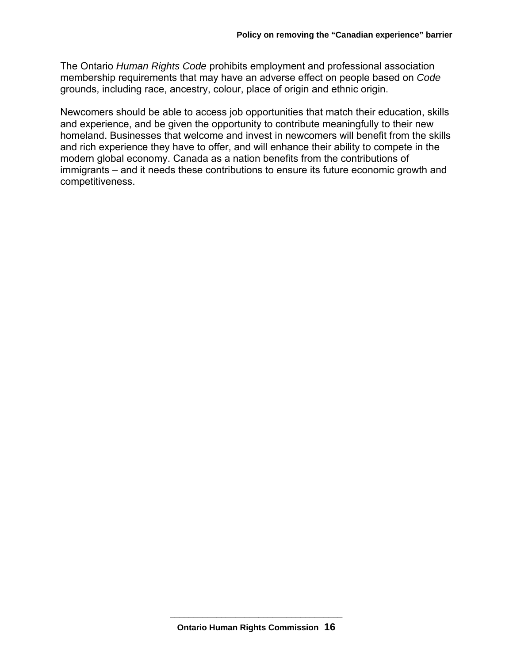The Ontario *Human Rights Code* prohibits employment and professional association membership requirements that may have an adverse effect on people based on *Code*  grounds, including race, ancestry, colour, place of origin and ethnic origin.

Newcomers should be able to access job opportunities that match their education, skills and experience, and be given the opportunity to contribute meaningfully to their new homeland. Businesses that welcome and invest in newcomers will benefit from the skills and rich experience they have to offer, and will enhance their ability to compete in the modern global economy. Canada as a nation benefits from the contributions of immigrants – and it needs these contributions to ensure its future economic growth and competitiveness.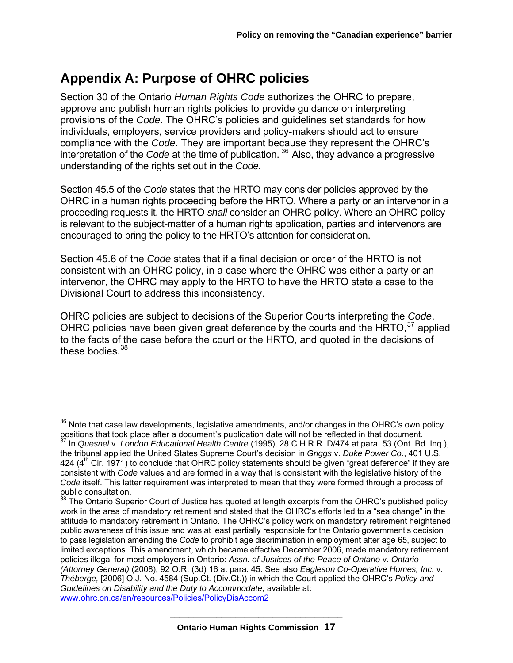### <span id="page-18-0"></span>**Appendix A: Purpose of OHRC policies**

Section 30 of the Ontario *Human Rights Code* authorizes the OHRC to prepare, approve and publish human rights policies to provide guidance on interpreting provisions of the *Code*. The OHRC's policies and guidelines set standards for how individuals, employers, service providers and policy-makers should act to ensure compliance with the *Code*. They are important because they represent the OHRC's interpretation of the *Code* at the time of publication. <sup>36</sup> Also, they advance a progressive understanding of the rights set out in the *Code.* 

Section 45.5 of the *Code* states that the HRTO may consider policies approved by the OHRC in a human rights proceeding before the HRTO. Where a party or an intervenor in a proceeding requests it, the HRTO *shall* consider an OHRC policy. Where an OHRC policy is relevant to the subject-matter of a human rights application, parties and intervenors are encouraged to bring the policy to the HRTO's attention for consideration.

Section 45.6 of the *Code* states that if a final decision or order of the HRTO is not consistent with an OHRC policy, in a case where the OHRC was either a party or an intervenor, the OHRC may apply to the HRTO to have the HRTO state a case to the Divisional Court to address this inconsistency.

OHRC policies are subject to decisions of the Superior Courts interpreting the *Code*. OHRC policies have been given great deference by the courts and the HRTO,  $37$  applied to the facts of the case before the court or the HRTO, and quoted in the decisions of these bodies.<sup>38</sup>

 $36$  Note that case law developments, legislative amendments, and/or changes in the OHRC's own policy positions that took place after a document's publication date will not be reflected in that document.

<sup>37</sup> In *Quesnel* v. *London Educational Health Centre* (1995), 28 C.H.R.R. D/474 at para. 53 (Ont. Bd. Inq.), the tribunal applied the United States Supreme Court's decision in *Griggs* v. *Duke Power Co*., 401 U.S. 424  $(4<sup>th</sup>$  Cir. 1971) to conclude that OHRC policy statements should be given "great deference" if they are consistent with *Code* values and are formed in a way that is consistent with the legislative history of the *Code* itself. This latter requirement was interpreted to mean that they were formed through a process of public consultation.<br><sup>38</sup> The Orientes

The Ontario Superior Court of Justice has quoted at length excerpts from the OHRC's published policy work in the area of mandatory retirement and stated that the OHRC's efforts led to a "sea change" in the attitude to mandatory retirement in Ontario. The OHRC's policy work on mandatory retirement heightened public awareness of this issue and was at least partially responsible for the Ontario government's decision to pass legislation amending the *Code* to prohibit age discrimination in employment after age 65, subject to limited exceptions. This amendment, which became effective December 2006, made mandatory retirement policies illegal for most employers in Ontario: *Assn. of Justices of the Peace of Ontario* v. *Ontario (Attorney General)* (2008), 92 O.R. (3d) 16 at para. 45. See also *Eagleson Co-Operative Homes, Inc.* v. *Théberge,* [2006] O.J. No. 4584 (Sup.Ct. (Div.Ct.)) in which the Court applied the OHRC's *Policy and Guidelines on Disability and the Duty to Accommodate*, available at: [www.ohrc.on.ca/en/resources/Policies/PolicyDisAccom2](http://www.ohrc.on.ca/en/resources/Policies/PolicyDisAccom2)